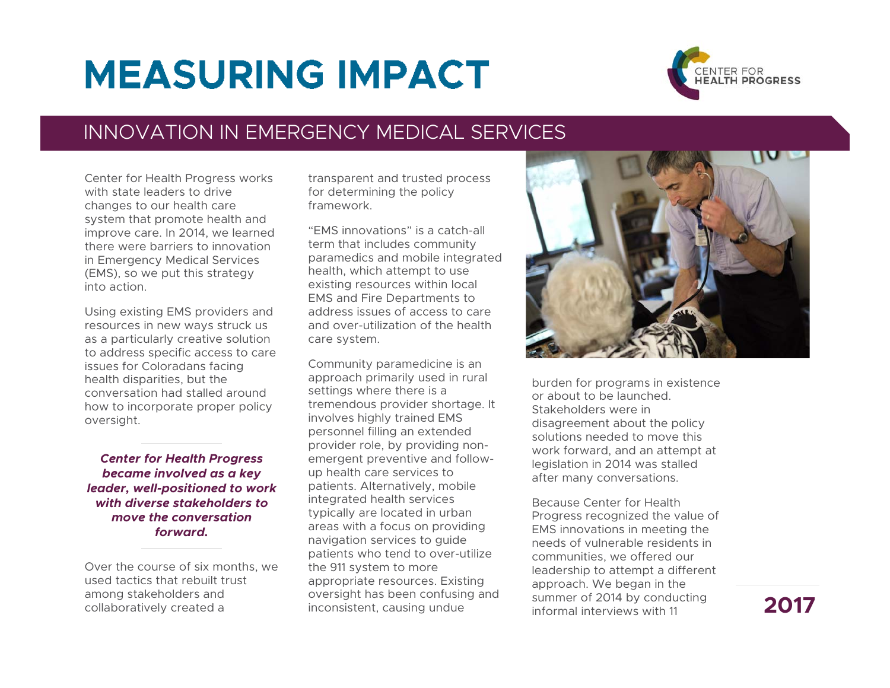## **MEASURING IMPACT**



## INNOVATION IN EMERGENCY MEDICAL SERVICES

Center for Health Progress works with state leaders to drive changes to our health care system that promote health and improve care. In 2014, we learned there were barriers to innovation in Emergency Medical Services (EMS), so we put this strategy into action.

Using existing EMS providers and resources in new ways struck us as a particularly creative solution to address specific access to care issues for Coloradans facing health disparities, but the conversation had stalled around how to incorporate proper policy oversight.

*Center for Health Progress became involved as a key leader, well-positioned to work with diverse stakeholders to move the conversation forward.* 

Over the course of six months, we used tactics that rebuilt trust among stakeholders and collaboratively created a

transparent and trusted process for determining the policy framework.

"EMS innovations" is a catch-all term that includes community paramedics and mobile integrated health, which attempt to use existing resources within local EMS and Fire Departments to address issues of access to care and over-utilization of the health care system.

Community paramedicine is an approach primarily used in rural settings where there is a tremendous provider shortage. It involves highly trained EMS personnel filling an extended provider role, by providing nonemergent preventive and followup health care services to patients. Alternatively, mobile integrated health services typically are located in urban areas with a focus on providing navigation services to guide patients who tend to over-utilize the 911 system to more appropriate resources. Existing oversight has been confusing and inconsistent, causing undue



burden for programs in existence or about to be launched. Stakeholders were in disagreement about the policy solutions needed to move this work forward, and an attempt at legislation in 2014 was stalled after many conversations.

Because Center for Health Progress recognized the value of EMS innovations in meeting the needs of vulnerable residents in communities, we offered our leadership to attempt a different approach. We began in the summer of 2014 by conducting informal interviews with 11

## **2017**